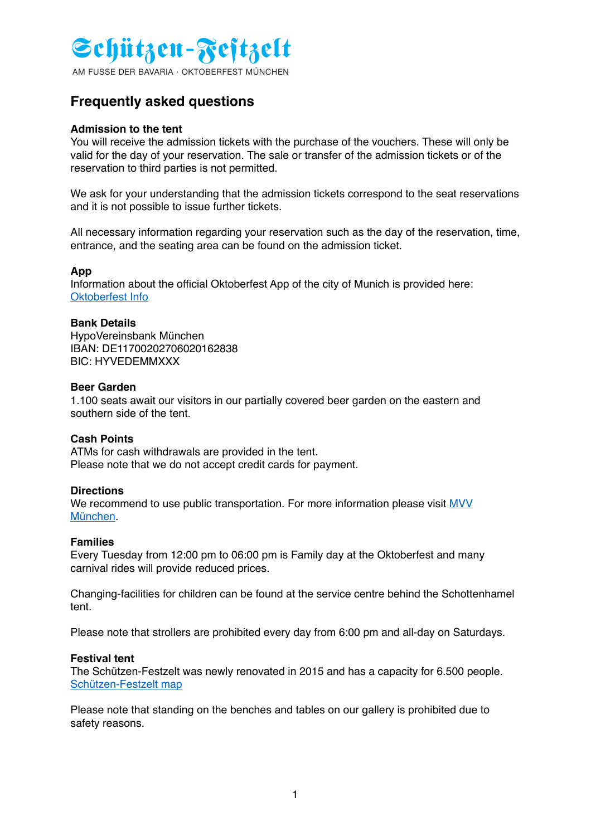

AM FUSSE DER BAVARIA · OKTOBERFEST MÜNCHEN

# **Frequently asked questions**

# **Admission to the tent**

You will receive the admission tickets with the purchase of the vouchers. These will only be valid for the day of your reservation. The sale or transfer of the admission tickets or of the reservation to third parties is not **pewENERAU** 

We ask for your understanding that the admission tickets correspond to the seat reservations and it is not possible to issue further tickets.

All necessary information regarding your reservation such as the day of the reservation, time, entrance, and the seating area can be found on the admission ticket.

# **App**

Information about the official Oktoberfest App of the city of Munich is provided here: [Oktoberfest Info](https://www.oktoberfest.info/en)

# **Bank Details**

HypoVereinsbank München IBAN: DE11700202706020162838 BIC: HYVEDEMMXXX

#### **Beer Garden**

1.100 seats await our visitors in our partially covered beer garden on the eastern and southern side of the tent.

# **Cash Points**

ATMs for cash withdrawals are provided in the tent. Please note that we do not accept credit cards for payment.

#### **Directions**

We recommend to use public transportation. For more information please visit MVV München.

#### **Families**

Every Tuesday from 12:00 pm to 06:00 pm is Family day at the Oktoberfest and many carnival rides will provide reduced prices.

Changing-facilities for children can be found at the service centre behind the Schottenhamel tent.

Please note that strollers are prohibited every day from 6:00 pm and all-day on Saturdays.

#### **Festival tent**

The Schützen-Festzelt was newly renovated in 2015 and has a capacity for 6.500 people. [Schützen-Festzelt map](https://www.schuetzenfestzelt.com/festzelt)

Please note that standing on the benches and tables on our gallery is prohibited due to safety reasons.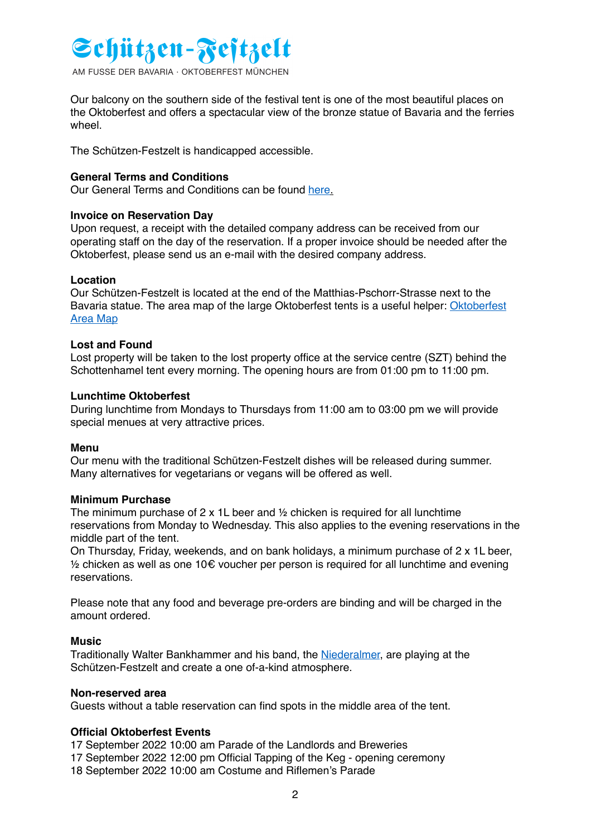# Schützen-Festzelt

AM FUSSE DER BAVARIA · OKTOBERFEST MÜNCHEN

Our balcony on the southern side of the festival tent is one of the most beautiful places on the Oktoberfest and offers a spectacular view of the bronze statue of Bavaria and the ferries wheel.

The Schützen-Festzelt is handicapped accessible.

# **LOWENBRAU**

# **General Terms and Conditions**

Our General Terms and Conditions can be found [here](https://www.schuetzenfestzelt.com/agb).

# **Invoice on Reservation Day**

Upon request, a receipt with the detailed company address can be received from our operating staff on the day of the reservation. If a proper invoice should be needed after the Oktoberfest, please send us an e-mail with the desired company address.

# **Location**

Our Schützen-Festzelt is located at the end of the Matthias-Pschorr-Strasse next to the [Bavaria statue. The area map of the large Oktoberfest tents is a useful helper: Oktoberfest](https://www.oktoberfest.info/en/information/oktoberfest-area-map/)  Area Map

# **Lost and Found**

Lost property will be taken to the lost property office at the service centre (SZT) behind the Schottenhamel tent every morning. The opening hours are from 01:00 pm to 11:00 pm.

# **Lunchtime Oktoberfest**

During lunchtime from Mondays to Thursdays from 11:00 am to 03:00 pm we will provide special menues at very attractive prices.

#### **Menu**

Our menu with the traditional Schützen-Festzelt dishes will be released during summer. Many alternatives for vegetarians or vegans will be offered as well.

#### **Minimum Purchase**

The minimum purchase of  $2 \times 1$  beer and  $\frac{1}{2}$  chicken is required for all lunchtime reservations from Monday to Wednesday. This also applies to the evening reservations in the middle part of the tent.

On Thursday, Friday, weekends, and on bank holidays, a minimum purchase of 2 x 1L beer,  $%$  chicken as well as one 10€ voucher per person is required for all lunchtime and evening reservations.

Please note that any food and beverage pre-orders are binding and will be charged in the amount ordered.

#### **Music**

Traditionally Walter Bankhammer and his band, the [Niederalmer](http://die-niederalmer.com), are playing at the Schützen-Festzelt and create a one of-a-kind atmosphere.

#### **Non-reserved area**

Guests without a table reservation can find spots in the middle area of the tent.

#### **Official Oktoberfest Events**

17 September 2022 10:00 am Parade of the Landlords and Breweries

- 17 September 2022 12:00 pm Official Tapping of the Keg opening ceremony
- 18 September 2022 10:00 am Costume and Riflemen's Parade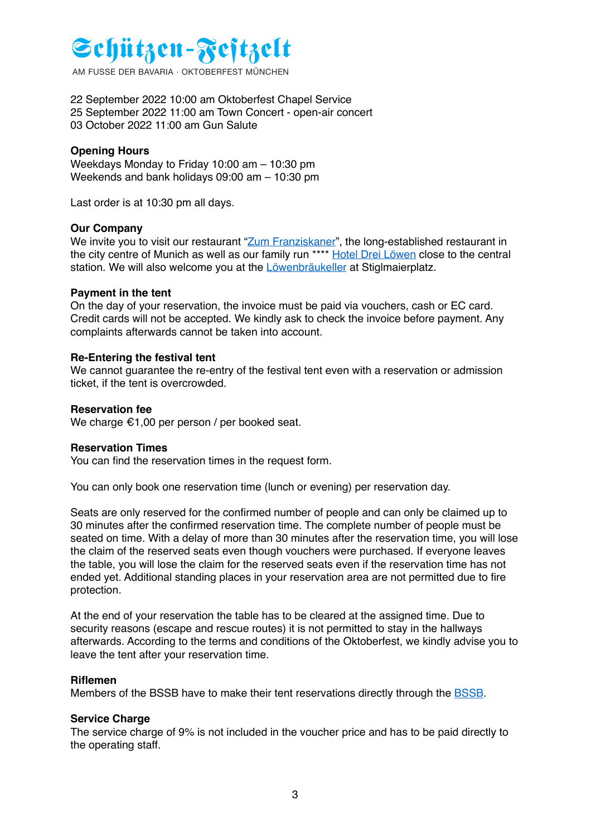# Schützen-Festzelt

AM FUSSE DER BAVARIA · OKTOBERFEST MÜNCHEN

22 September 2022 10:00 am Oktoberfest Chapel Service 25 September 2022 11:00 am Town Concert - open-air concert 03 October 2022 11:00 am Gun Salute

# **Opening Hours**

Weekdays Monday to Friday 10:06 am haddo pm Weekends and bank holidays 09:00 am – 10:30 pm

Last order is at 10:30 pm all days.

#### **Our Company**

We invite you to visit our restaurant ["Zum Franziskaner"](http://www.zum-franziskaner.de), the long-established restaurant in the city centre of Munich as well as our family run \*\*\*\* [Hotel Drei Löwen](http://www.hotel3loewen.de) close to the central station. We will also welcome you at the [Löwenbräukeller](http://www.reinbolds-lbk.com) at Stiglmaierplatz.

#### **Payment in the tent**

On the day of your reservation, the invoice must be paid via vouchers, cash or EC card. Credit cards will not be accepted. We kindly ask to check the invoice before payment. Any complaints afterwards cannot be taken into account.

#### **Re-Entering the festival tent**

We cannot guarantee the re-entry of the festival tent even with a reservation or admission ticket, if the tent is overcrowded.

#### **Reservation fee**

We charge €1,00 per person / per booked seat.

#### **Reservation Times**

You can find the reservation times in the request form.

You can only book one reservation time (lunch or evening) per reservation day.

Seats are only reserved for the confirmed number of people and can only be claimed up to 30 minutes after the confirmed reservation time. The complete number of people must be seated on time. With a delay of more than 30 minutes after the reservation time, you will lose the claim of the reserved seats even though vouchers were purchased. If everyone leaves the table, you will lose the claim for the reserved seats even if the reservation time has not ended yet. Additional standing places in your reservation area are not permitted due to fire protection.

At the end of your reservation the table has to be cleared at the assigned time. Due to security reasons (escape and rescue routes) it is not permitted to stay in the hallways afterwards. According to the terms and conditions of the Oktoberfest, we kindly advise you to leave the tent after your reservation time.

#### **Riflemen**

Members of the BSSB have to make their tent reservations directly through the [BSSB.](http://www.bssb.de)

#### **Service Charge**

The service charge of 9% is not included in the voucher price and has to be paid directly to the operating staff.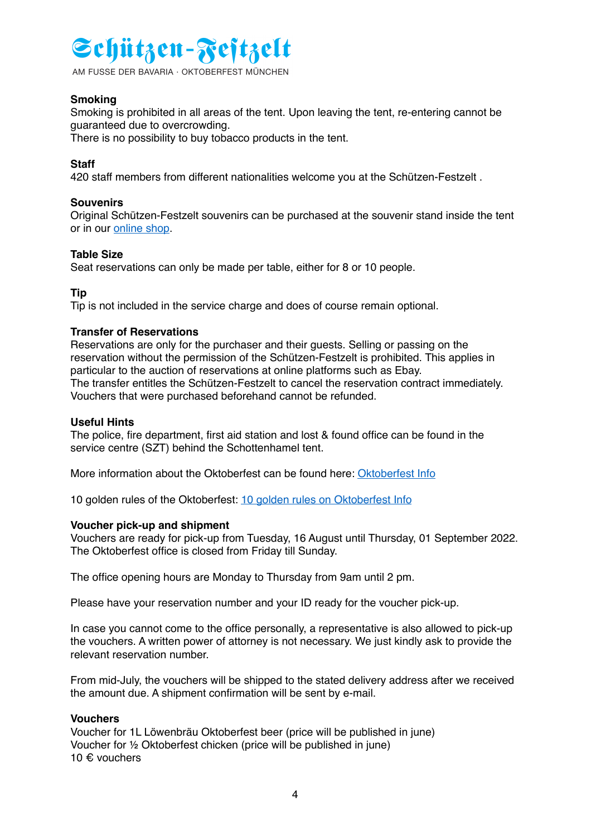# Schützen-Festzelt

AM FUSSE DER BAVARIA · OKTOBERFEST MÜNCHEN

# **Smoking**

Smoking is prohibited in all areas of the tent. Upon leaving the tent, re-entering cannot be guaranteed due to overcrowding.

There is no possibility to buy tobacco products in the tent.

# **Staff**

#### **LOWENBRAU**

420 staff members from different nationalities welcome you at the Schützen-Festzelt .

# **Souvenirs**

Original Schützen-Festzelt souvenirs can be purchased at the souvenir stand inside the tent or in our [online shop.](http://www.franziskanershop.com)

# **Table Size**

Seat reservations can only be made per table, either for 8 or 10 people.

# **Tip**

Tip is not included in the service charge and does of course remain optional.

# **Transfer of Reservations**

Reservations are only for the purchaser and their guests. Selling or passing on the reservation without the permission of the Schützen-Festzelt is prohibited. This applies in particular to the auction of reservations at online platforms such as Ebay. The transfer entitles the Schützen-Festzelt to cancel the reservation contract immediately. Vouchers that were purchased beforehand cannot be refunded.

#### **Useful Hints**

The police, fire department, first aid station and lost & found office can be found in the service centre (SZT) behind the Schottenhamel tent.

More information about the Oktoberfest can be found here: [Oktoberfest Info](https://www.oktoberfest.info/en/information/)

10 golden rules of the Oktoberfest: [10 golden rules on Oktoberfest Info](https://www.oktoberfest.info/en/information/10-golden-rules-for-oktoberfest/)

# **Voucher pick-up and shipment**

Vouchers are ready for pick-up from Tuesday, 16 August until Thursday, 01 September 2022. The Oktoberfest office is closed from Friday till Sunday.

The office opening hours are Monday to Thursday from 9am until 2 pm.

Please have your reservation number and your ID ready for the voucher pick-up.

In case you cannot come to the office personally, a representative is also allowed to pick-up the vouchers. A written power of attorney is not necessary. We just kindly ask to provide the relevant reservation number.

From mid-July, the vouchers will be shipped to the stated delivery address after we received the amount due. A shipment confirmation will be sent by e-mail.

#### **Vouchers**

Voucher for 1L Löwenbräu Oktoberfest beer (price will be published in june) Voucher for ½ Oktoberfest chicken (price will be published in june) 10 € vouchers